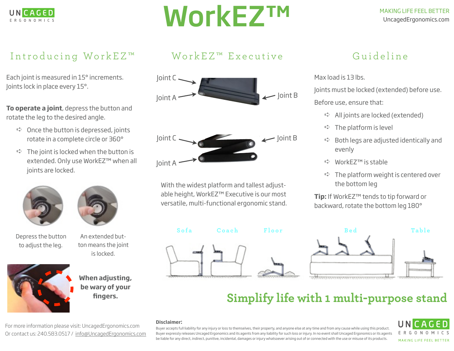

# WorkEZ™

#### MAKING LIFE FEEL BETTER UncagedErgonomics.com

### Introducing WorkEZ<sup>™</sup>

Each joint is measured in 15° increments. Joints lock in place every 15°.

**To operate a joint**, depress the button and rotate the leg to the desired angle.

- $\Rightarrow$  Once the button is depressed, joints rotate in a complete circle or 360°
- $\Rightarrow$  The joint is locked when the button is extended. Only use WorkEZ™ when all joints are locked.





Depress the button to adjust the leg.

An extended button means the joint is locked.



**When adjusting, be wary of your fingers.**

For more information please visit: UncagedErgonomics.com Or contact us: 240.583.0517 / [info@UncagedErgonomics.com](mailto:info@uncagedErgonomics.com)

### Work EZ<sup>™</sup> Executive



With the widest platform and tallest adjustable height, WorkEZ™ Executive is our most versatile, multi-functional ergonomic stand.





➪ All joints are locked (extended)

Guideline

 $\Rightarrow$  The platform is level

Max load is 13 lbs.

- $\Rightarrow$  Both legs are adjusted identically and evenly
- ➪ WorkEZ™ is stable
- $\Rightarrow$  The platform weight is centered over the bottom leg

**Tip:** If WorkEZ™ tends to tip forward or backward, rotate the bottom leg 180°



## **Simplify life with 1 multi-purpose stand**

#### **Disclaimer:**

Buyer accepts full liability for any injury or loss to themselves, their property, and anyone else at any time and from any cause while using this product. Buyer expressly releases Uncaged Ergonomics and its agents from any liability for such loss or injury. In no event shall Uncaged Ergonomics or its agents be liable for any direct, indirect, punitive, incidental, damages or injury whatsoever arising out of or connected with the use or misuse of its products.